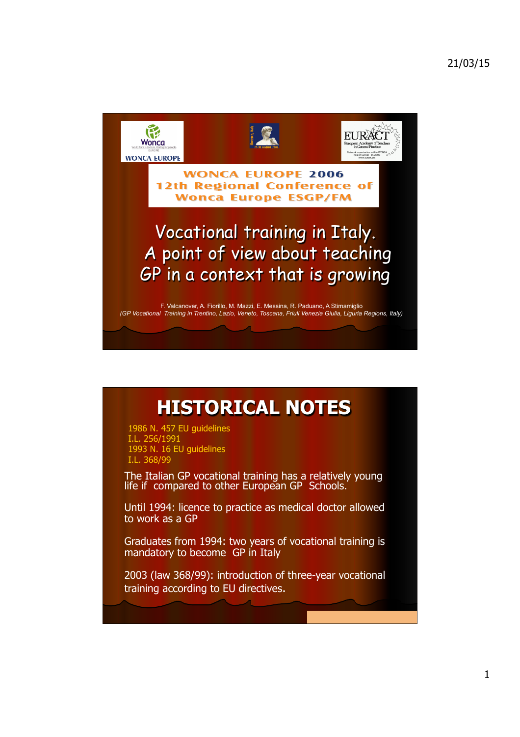

## **HISTORICAL NOTES**

1986 N. 457 EU guidelines I.L. 256/1991 1993 N. 16 EU guidelines I.L. 368/99

The Italian GP vocational training has a relatively young life if compared to other European GP Schools.

Until 1994: licence to practice as medical doctor allowed to work as a GP

Graduates from 1994: two years of vocational training is mandatory to become GP in Italy

2003 (law 368/99): introduction of three-year vocational training according to EU directives.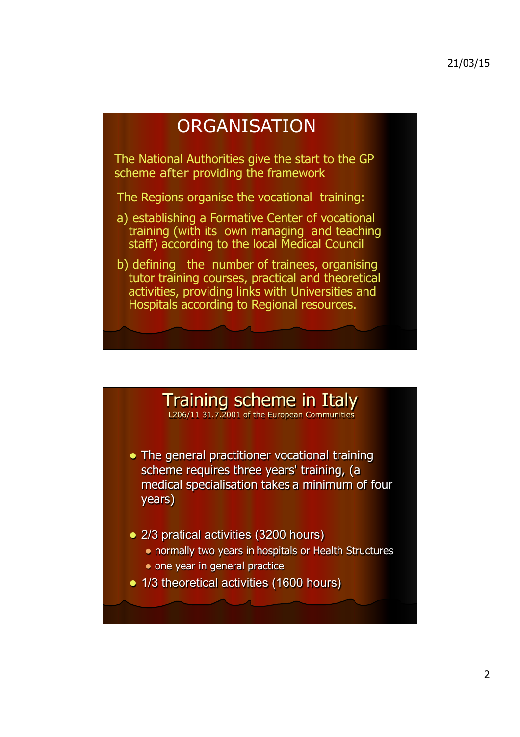## **ORGANISATION**

The National Authorities give the start to the GP scheme after providing the framework

The Regions organise the vocational training:

- a) establishing a Formative Center of vocational training (with its own managing and teaching staff) according to the local Medical Council
- b) defining the number of trainees, organising tutor training courses, practical and theoretical activities, providing links with Universities and Hospitals according to Regional resources.

## Training scheme in Italy

L206/11 31.7.2001 of the European Communities

- The general practitioner vocational training scheme requires three years' training, (a medical specialisation takes a minimum of four years)
- 2/3 pratical activities (3200 hours)
	- normally two years in hospitals or Health Structures
	- one year in general practice
- 1/3 theoretical activities (1600 hours)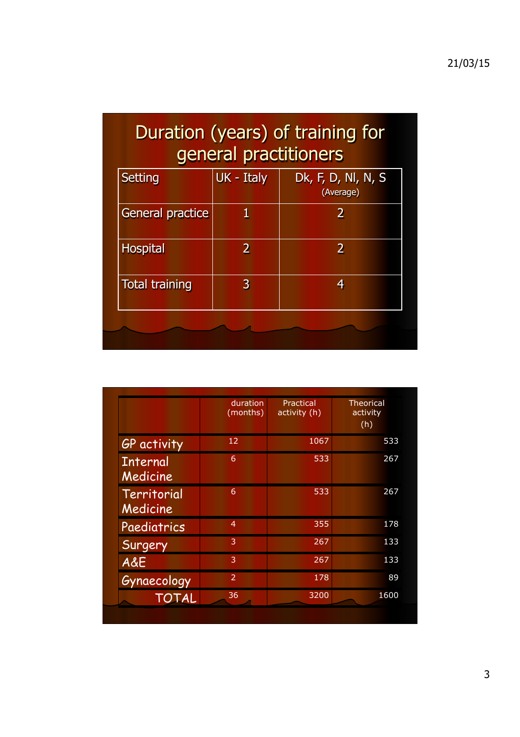## Duration (years) of training for general practitioners

| <b>Setting</b>          | UK - Italy | Dk, F, D, Nl, N, S<br>(Average) |  |
|-------------------------|------------|---------------------------------|--|
| <b>General practice</b> |            | 2                               |  |
| <b>Hospital</b>         | 2          | 2                               |  |
| <b>Total training</b>   | 3          | 4                               |  |
|                         |            |                                 |  |

|                             | duration<br>(months) | Practical<br>activity (h) | <b>Theorical</b><br>activity<br>(h) |
|-----------------------------|----------------------|---------------------------|-------------------------------------|
| GP activity                 | 12                   | 1067                      | 533                                 |
| <b>Internal</b><br>Medicine | 6                    | 533                       | 267                                 |
| Territorial<br>Medicine     | 6                    | 533                       | 267                                 |
| Paediatrics                 | $\overline{4}$       | 355                       | 178                                 |
| Surgery                     | 3                    | 267                       | 133                                 |
| A&E                         | 3                    | 267                       | 133                                 |
| Gynaecology                 | $\mathcal{P}$        | 178                       | 89                                  |
| TOTAL                       | 36                   | 3200                      | 1600                                |